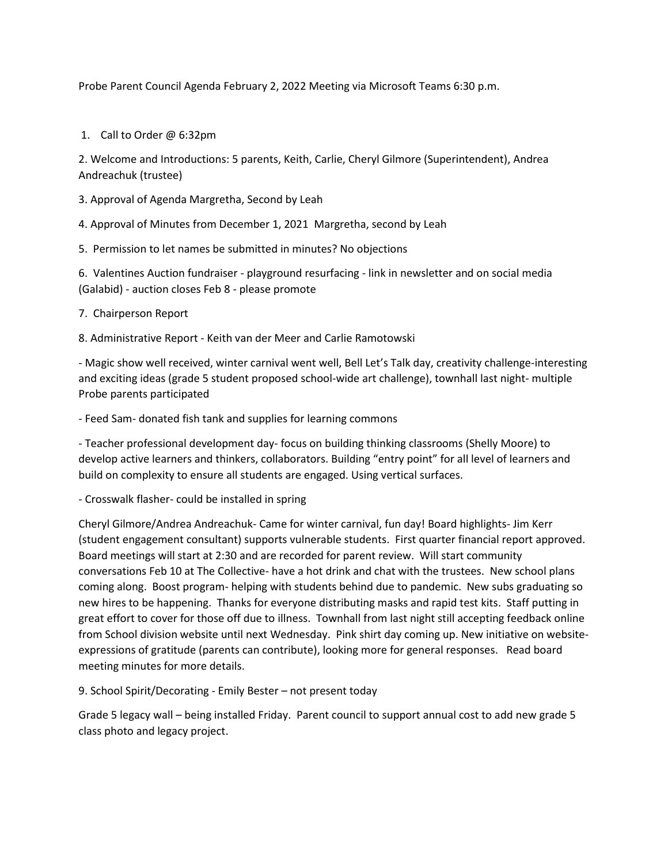Probe Parent Council Agenda February 2, 2022 Meeting via Microsoft Teams 6:30 p.m.

1. Call to Order @ 6:32pm

2. Welcome and Introductions: 5 parents, Keith, Carlie, Cheryl Gilmore (Superintendent), Andrea Andreachuk (trustee)

3. Approval of Agenda Margretha, Second by Leah

4. Approval of Minutes from December 1, 2021 Margretha, second by Leah

5. Permission to let names be submitted in minutes? No objections

6. Valentines Auction fundraiser - playground resurfacing - link in newsletter and on social media (Galabid) - auction closes Feb 8 - please promote

- 7. Chairperson Report
- 8. Administrative Report Keith van der Meer and Carlie Ramotowski

- Magic show well received, winter carnival went well, Bell Let's Talk day, creativity challenge-interesting and exciting ideas (grade 5 student proposed school-wide art challenge), townhall last night- multiple Probe parents participated

- Feed Sam- donated fish tank and supplies for learning commons

- Teacher professional development day- focus on building thinking classrooms (Shelly Moore) to develop active learners and thinkers, collaborators. Building "entry point" for all level of learners and build on complexity to ensure all students are engaged. Using vertical surfaces.

- Crosswalk flasher- could be installed in spring

Cheryl Gilmore/Andrea Andreachuk- Came for winter carnival, fun day! Board highlights- Jim Kerr (student engagement consultant) supports vulnerable students. First quarter financial report approved. Board meetings will start at 2:30 and are recorded for parent review. Will start community conversations Feb 10 at The Collective- have a hot drink and chat with the trustees. New school plans coming along. Boost program- helping with students behind due to pandemic. New subs graduating so new hires to be happening. Thanks for everyone distributing masks and rapid test kits. Staff putting in great effort to cover for those off due to illness. Townhall from last night still accepting feedback online from School division website until next Wednesday. Pink shirt day coming up. New initiative on websiteexpressions of gratitude (parents can contribute), looking more for general responses. Read board meeting minutes for more details.

9. School Spirit/Decorating - Emily Bester – not present today

Grade 5 legacy wall – being installed Friday. Parent council to support annual cost to add new grade 5 class photo and legacy project.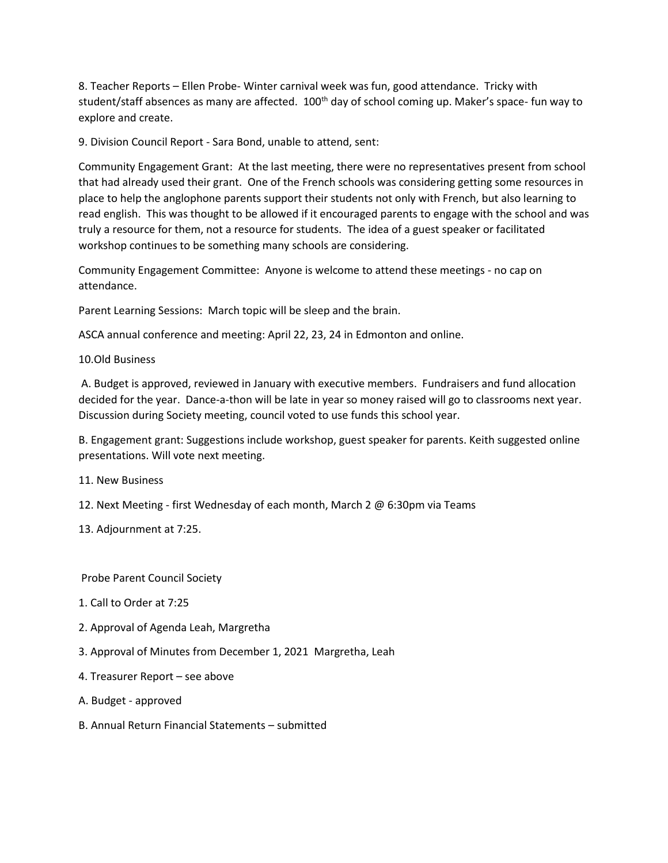8. Teacher Reports – Ellen Probe- Winter carnival week was fun, good attendance. Tricky with student/staff absences as many are affected. 100<sup>th</sup> day of school coming up. Maker's space- fun way to explore and create.

9. Division Council Report - Sara Bond, unable to attend, sent:

Community Engagement Grant: At the last meeting, there were no representatives present from school that had already used their grant. One of the French schools was considering getting some resources in place to help the anglophone parents support their students not only with French, but also learning to read english. This was thought to be allowed if it encouraged parents to engage with the school and was truly a resource for them, not a resource for students. The idea of a guest speaker or facilitated workshop continues to be something many schools are considering.

Community Engagement Committee: Anyone is welcome to attend these meetings - no cap on attendance.

Parent Learning Sessions: March topic will be sleep and the brain.

ASCA annual conference and meeting: April 22, 23, 24 in Edmonton and online.

10.Old Business

A. Budget is approved, reviewed in January with executive members. Fundraisers and fund allocation decided for the year. Dance-a-thon will be late in year so money raised will go to classrooms next year. Discussion during Society meeting, council voted to use funds this school year.

B. Engagement grant: Suggestions include workshop, guest speaker for parents. Keith suggested online presentations. Will vote next meeting.

11. New Business

12. Next Meeting - first Wednesday of each month, March 2 @ 6:30pm via Teams

13. Adjournment at 7:25.

Probe Parent Council Society

- 1. Call to Order at 7:25
- 2. Approval of Agenda Leah, Margretha
- 3. Approval of Minutes from December 1, 2021 Margretha, Leah
- 4. Treasurer Report see above
- A. Budget approved
- B. Annual Return Financial Statements submitted